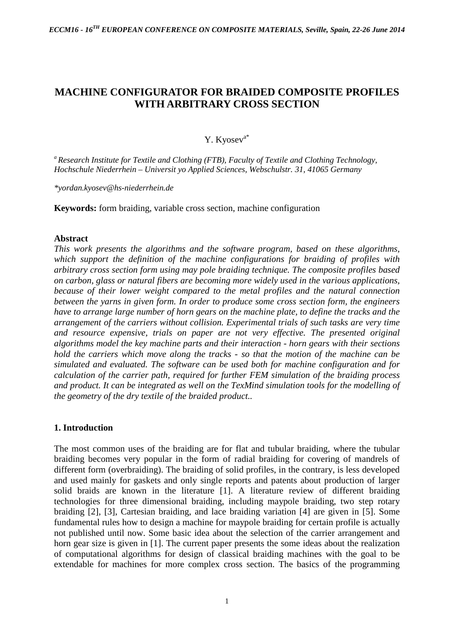# **MACHINE CONFIGURATOR FOR BRAIDED COMPOSITE PROFILES WITH ARBITRARY CROSS SECTION**

# Y. Kyosev<sup>a\*</sup>

*<sup>a</sup> Research Institute for Textile and Clothing (FTB), Faculty of Textile and Clothing Technology, Hochschule Niederrhein – Universit yo Applied Sciences, Webschulstr. 31, 41065 Germany*

*\*yordan.kyosev@hs-niederrhein.de*

**Keywords:** form braiding, variable cross section, machine configuration

#### **Abstract**

*This work presents the algorithms and the software program, based on these algorithms, which support the definition of the machine configurations for braiding of profiles with arbitrary cross section form using may pole braiding technique. The composite profiles based on carbon, glass or natural fibers are becoming more widely used in the various applications, because of their lower weight compared to the metal profiles and the natural connection between the yarns in given form. In order to produce some cross section form, the engineers have to arrange large number of horn gears on the machine plate, to define the tracks and the arrangement of the carriers without collision. Experimental trials of such tasks are very time and resource expensive, trials on paper are not very effective. The presented original algorithms model the key machine parts and their interaction - horn gears with their sections hold the carriers which move along the tracks - so that the motion of the machine can be simulated and evaluated. The software can be used both for machine configuration and for calculation of the carrier path, required for further FEM simulation of the braiding process and product. It can be integrated as well on the TexMind simulation tools for the modelling of the geometry of the dry textile of the braided product..*

## **1. Introduction**

The most common uses of the braiding are for flat and tubular braiding, where the tubular braiding becomes very popular in the form of radial braiding for covering of mandrels of different form (overbraiding). The braiding of solid profiles, in the contrary, is less developed and used mainly for gaskets and only single reports and patents about production of larger solid braids are known in the literature [1]. A literature review of different braiding technologies for three dimensional braiding, including maypole braiding, two step rotary braiding [2], [3], Cartesian braiding, and lace braiding variation [4] are given in [5]. Some fundamental rules how to design a machine for maypole braiding for certain profile is actually not published until now. Some basic idea about the selection of the carrier arrangement and horn gear size is given in [1]. The current paper presents the some ideas about the realization of computational algorithms for design of classical braiding machines with the goal to be extendable for machines for more complex cross section. The basics of the programming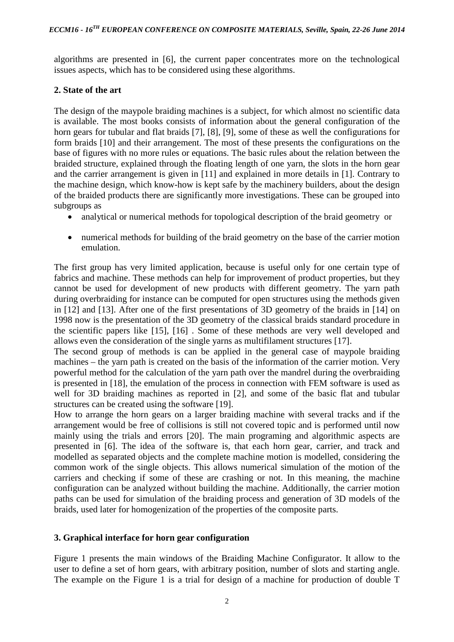algorithms are presented in [6], the current paper concentrates more on the technological issues aspects, which has to be considered using these algorithms.

# **2. State of the art**

The design of the maypole braiding machines is a subject, for which almost no scientific data is available. The most books consists of information about the general configuration of the horn gears for tubular and flat braids [7], [8], [9], some of these as well the configurations for form braids [10] and their arrangement. The most of these presents the configurations on the base of figures with no more rules or equations. The basic rules about the relation between the braided structure, explained through the floating length of one yarn, the slots in the horn gear and the carrier arrangement is given in [11] and explained in more details in [1]. Contrary to the machine design, which know-how is kept safe by the machinery builders, about the design of the braided products there are significantly more investigations. These can be grouped into subgroups as

- analytical or numerical methods for topological description of the braid geometry or
- numerical methods for building of the braid geometry on the base of the carrier motion emulation.

The first group has very limited application, because is useful only for one certain type of fabrics and machine. These methods can help for improvement of product properties, but they cannot be used for development of new products with different geometry. The yarn path during overbraiding for instance can be computed for open structures using the methods given in [12] and [13]. After one of the first presentations of 3D geometry of the braids in [14] on 1998 now is the presentation of the 3D geometry of the classical braids standard procedure in the scientific papers like [15], [16] . Some of these methods are very well developed and allows even the consideration of the single yarns as multifilament structures [17].

The second group of methods is can be applied in the general case of maypole braiding machines – the yarn path is created on the basis of the information of the carrier motion. Very powerful method for the calculation of the yarn path over the mandrel during the overbraiding is presented in [18], the emulation of the process in connection with FEM software is used as well for 3D braiding machines as reported in [2], and some of the basic flat and tubular structures can be created using the software [19].

How to arrange the horn gears on a larger braiding machine with several tracks and if the arrangement would be free of collisions is still not covered topic and is performed until now mainly using the trials and errors [20]. The main programing and algorithmic aspects are presented in [6]. The idea of the software is, that each horn gear, carrier, and track and modelled as separated objects and the complete machine motion is modelled, considering the common work of the single objects. This allows numerical simulation of the motion of the carriers and checking if some of these are crashing or not. In this meaning, the machine configuration can be analyzed without building the machine. Additionally, the carrier motion paths can be used for simulation of the braiding process and generation of 3D models of the braids, used later for homogenization of the properties of the composite parts.

# **3. Graphical interface for horn gear configuration**

Figure 1 presents the main windows of the Braiding Machine Configurator. It allow to the user to define a set of horn gears, with arbitrary position, number of slots and starting angle. The example on the Figure 1 is a trial for design of a machine for production of double T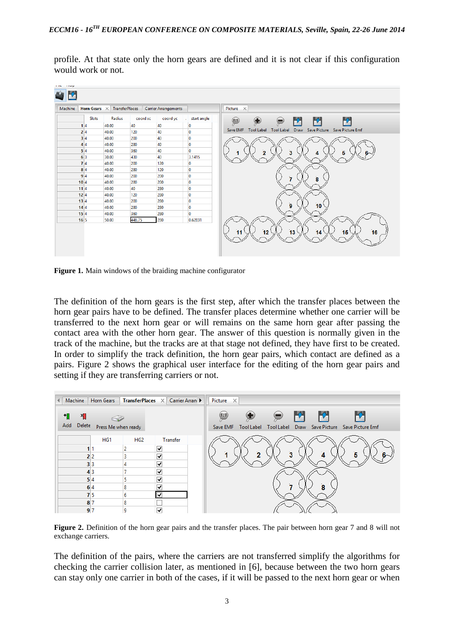profile. At that state only the horn gears are defined and it is not clear if this configuration would work or not.



**Figure 1.** Main windows of the braiding machine configurator

The definition of the horn gears is the first step, after which the transfer places between the horn gear pairs have to be defined. The transfer places determine whether one carrier will be transferred to the next horn gear or will remains on the same horn gear after passing the contact area with the other horn gear. The answer of this question is normally given in the track of the machine, but the tracks are at that stage not defined, they have first to be created. In order to simplify the track definition, the horn gear pairs, which contact are defined as a pairs. Figure 2 shows the graphical user interface for the editing of the horn gear pairs and setting if they are transferring carriers or not.

| <b>TransferPlaces</b> $\times$ Carrier Arran<br>Machine<br>Horn Gears<br>$\left  \cdot \right $                                                                                                      | Picture $\times$                                                                                              |
|------------------------------------------------------------------------------------------------------------------------------------------------------------------------------------------------------|---------------------------------------------------------------------------------------------------------------|
| ٠П<br>×П<br>Delete<br>Add<br>Press Me when ready                                                                                                                                                     | P.<br>(1:1)<br>Save EMF<br><b>Tool Label</b><br><b>Tool Label</b><br>Save Picture<br>Save Picture Emf<br>Draw |
| HG <sub>2</sub><br>HG1<br>√<br>$\overline{\mathbf{v}}$<br>2 2<br>√<br>3 3<br>4<br>$\blacktriangledown$<br>4 3<br>$\blacktriangledown$<br>5 4<br>$\overline{\mathbf{v}}$<br>6 4<br>8<br>7 5<br>6<br>◡ | Transfer<br>$\overline{2}$<br>3<br>5<br>4<br>8                                                                |
| 8 <sup>7</sup><br>8<br>$\overline{\mathbf{v}}$<br>9 7<br>9                                                                                                                                           |                                                                                                               |

**Figure 2.** Definition of the horn gear pairs and the transfer places. The pair between horn gear 7 and 8 will not exchange carriers.

The definition of the pairs, where the carriers are not transferred simplify the algorithms for checking the carrier collision later, as mentioned in [6], because between the two horn gears can stay only one carrier in both of the cases, if it will be passed to the next horn gear or when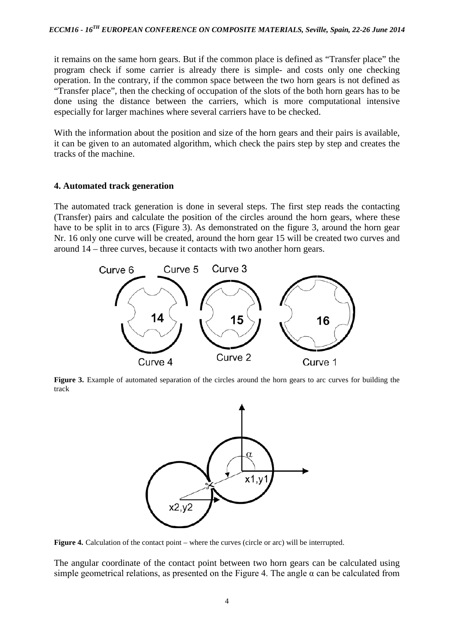it remains on the same horn gears. But if the common place is defined as "Transfer place" the program check if some carrier is already there is simple- and costs only one checking operation. In the contrary, if the common space between the two horn gears is not defined as "Transfer place", then the checking of occupation of the slots of the both horn gears has to be done using the distance between the carriers, which is more computational intensive especially for larger machines where several carriers have to be checked.

With the information about the position and size of the horn gears and their pairs is available, it can be given to an automated algorithm, which check the pairs step by step and creates the tracks of the machine.

#### **4. Automated track generation**

The automated track generation is done in several steps. The first step reads the contacting (Transfer) pairs and calculate the position of the circles around the horn gears, where these have to be split in to arcs (Figure 3). As demonstrated on the figure 3, around the horn gear Nr. 16 only one curve will be created, around the horn gear 15 will be created two curves and around 14 – three curves, because it contacts with two another horn gears.



**Figure 3.** Example of automated separation of the circles around the horn gears to arc curves for building the track



**Figure 4.** Calculation of the contact point – where the curves (circle or arc) will be interrupted.

The angular coordinate of the contact point between two horn gears can be calculated using simple geometrical relations, as presented on the Figure 4. The angle  $\alpha$  can be calculated from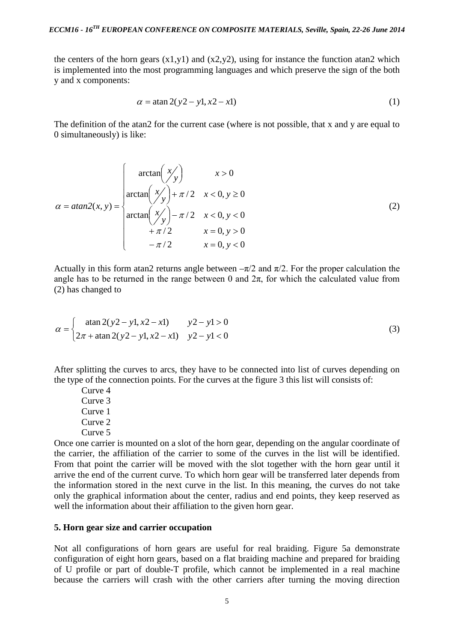the centers of the horn gears  $(x1,y1)$  and  $(x2,y2)$ , using for instance the function atan2 which is implemented into the most programming languages and which preserve the sign of the both y and x components:

$$
\alpha = \tan 2(y2 - y1, x2 - x1)
$$
 (1)

The definition of the atan2 for the current case (where is not possible, that x and y are equal to 0 simultaneously) is like:

$$
\alpha = \text{atan2}(x, y) = \begin{cases}\n\arctan\left(\frac{x}{y}\right) & x > 0 \\
\arctan\left(\frac{x}{y}\right) + \pi/2 & x < 0, y \ge 0 \\
\arctan\left(\frac{x}{y}\right) - \pi/2 & x < 0, y < 0 \\
+ \pi/2 & x = 0, y > 0 \\
-\pi/2 & x = 0, y < 0\n\end{cases}
$$
\n(2)

Actually in this form atan2 returns angle between  $-\pi/2$  and  $\pi/2$ . For the proper calculation the angle has to be returned in the range between 0 and  $2\pi$ , for which the calculated value from (2) has changed to

$$
\alpha = \begin{cases}\n\text{atan } 2(y2 - y1, x2 - x1) & y2 - y1 > 0 \\
2\pi + \text{atan } 2(y2 - y1, x2 - x1) & y2 - y1 < 0\n\end{cases}
$$
\n(3)

After splitting the curves to arcs, they have to be connected into list of curves depending on the type of the connection points. For the curves at the figure 3 this list will consists of:

Curve 4 Curve 3 Curve 1 Curve 2 Curve 5

Once one carrier is mounted on a slot of the horn gear, depending on the angular coordinate of the carrier, the affiliation of the carrier to some of the curves in the list will be identified. From that point the carrier will be moved with the slot together with the horn gear until it arrive the end of the current curve. To which horn gear will be transferred later depends from the information stored in the next curve in the list. In this meaning, the curves do not take only the graphical information about the center, radius and end points, they keep reserved as well the information about their affiliation to the given horn gear.

#### **5. Horn gear size and carrier occupation**

Not all configurations of horn gears are useful for real braiding. Figure 5a demonstrate configuration of eight horn gears, based on a flat braiding machine and prepared for braiding of U profile or part of double-T profile, which cannot be implemented in a real machine because the carriers will crash with the other carriers after turning the moving direction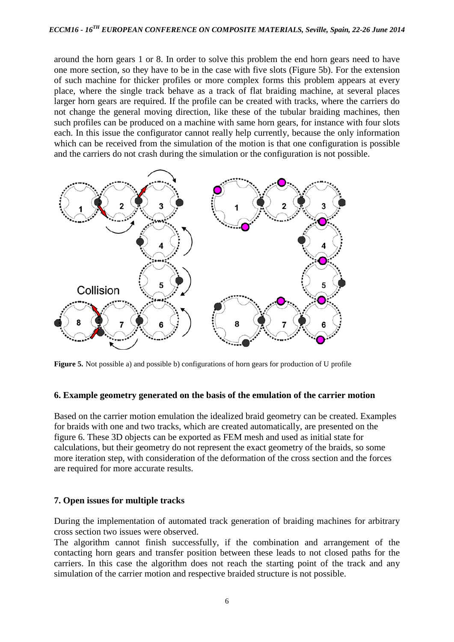around the horn gears 1 or 8. In order to solve this problem the end horn gears need to have one more section, so they have to be in the case with five slots (Figure 5b). For the extension of such machine for thicker profiles or more complex forms this problem appears at every place, where the single track behave as a track of flat braiding machine, at several places larger horn gears are required. If the profile can be created with tracks, where the carriers do not change the general moving direction, like these of the tubular braiding machines, then such profiles can be produced on a machine with same horn gears, for instance with four slots each. In this issue the configurator cannot really help currently, because the only information which can be received from the simulation of the motion is that one configuration is possible and the carriers do not crash during the simulation or the configuration is not possible.



**Figure 5.** Not possible a) and possible b) configurations of horn gears for production of U profile

#### **6. Example geometry generated on the basis of the emulation of the carrier motion**

Based on the carrier motion emulation the idealized braid geometry can be created. Examples for braids with one and two tracks, which are created automatically, are presented on the figure 6. These 3D objects can be exported as FEM mesh and used as initial state for calculations, but their geometry do not represent the exact geometry of the braids, so some more iteration step, with consideration of the deformation of the cross section and the forces are required for more accurate results.

## **7. Open issues for multiple tracks**

During the implementation of automated track generation of braiding machines for arbitrary cross section two issues were observed.

The algorithm cannot finish successfully, if the combination and arrangement of the contacting horn gears and transfer position between these leads to not closed paths for the carriers. In this case the algorithm does not reach the starting point of the track and any simulation of the carrier motion and respective braided structure is not possible.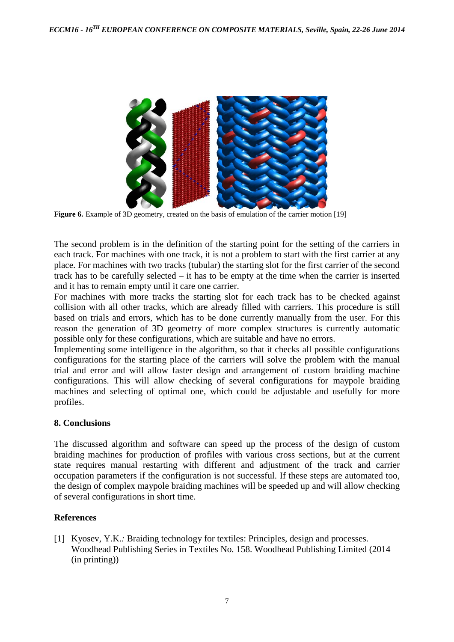

**Figure 6.** Example of 3D geometry, created on the basis of emulation of the carrier motion [19]

The second problem is in the definition of the starting point for the setting of the carriers in each track. For machines with one track, it is not a problem to start with the first carrier at any place. For machines with two tracks (tubular) the starting slot for the first carrier of the second track has to be carefully selected – it has to be empty at the time when the carrier is inserted and it has to remain empty until it care one carrier.

For machines with more tracks the starting slot for each track has to be checked against collision with all other tracks, which are already filled with carriers. This procedure is still based on trials and errors, which has to be done currently manually from the user. For this reason the generation of 3D geometry of more complex structures is currently automatic possible only for these configurations, which are suitable and have no errors.

Implementing some intelligence in the algorithm, so that it checks all possible configurations configurations for the starting place of the carriers will solve the problem with the manual trial and error and will allow faster design and arrangement of custom braiding machine configurations. This will allow checking of several configurations for maypole braiding machines and selecting of optimal one, which could be adjustable and usefully for more profiles.

# **8. Conclusions**

The discussed algorithm and software can speed up the process of the design of custom braiding machines for production of profiles with various cross sections, but at the current state requires manual restarting with different and adjustment of the track and carrier occupation parameters if the configuration is not successful. If these steps are automated too, the design of complex maypole braiding machines will be speeded up and will allow checking of several configurations in short time.

## **References**

[1] Kyosev, Y.K.: Braiding technology for textiles: Principles, design and processes. Woodhead Publishing Series in Textiles No. 158. Woodhead Publishing Limited (2014 (in printing))